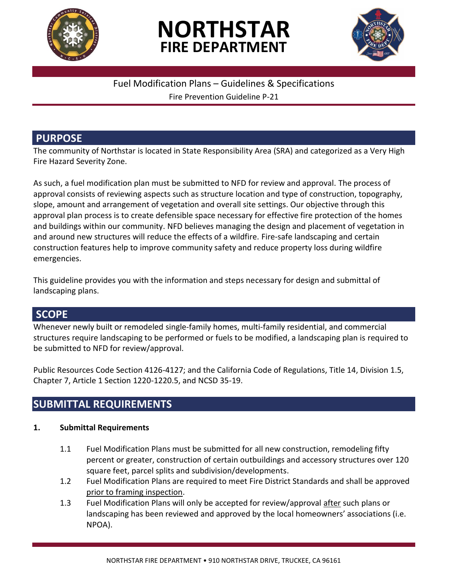

## **NORTHSTAR FIRE DEPARTMENT**



## Fuel Modification Plans – Guidelines & Specifications

Fire Prevention Guideline P-21

## **PURPOSE**

The community of Northstar is located in State Responsibility Area (SRA) and categorized as a Very High Fire Hazard Severity Zone.

As such, a fuel modification plan must be submitted to NFD for review and approval. The process of approval consists of reviewing aspects such as structure location and type of construction, topography, slope, amount and arrangement of vegetation and overall site settings. Our objective through this approval plan process is to create defensible space necessary for effective fire protection of the homes and buildings within our community. NFD believes managing the design and placement of vegetation in and around new structures will reduce the effects of a wildfire. Fire-safe landscaping and certain construction features help to improve community safety and reduce property loss during wildfire emergencies.

This guideline provides you with the information and steps necessary for design and submittal of landscaping plans.

## **SCOPE**

Whenever newly built or remodeled single-family homes, multi-family residential, and commercial structures require landscaping to be performed or fuels to be modified, a landscaping plan is required to be submitted to NFD for review/approval.

Public Resources Code Section 4126-4127; and the California Code of Regulations, Title 14, Division 1.5, Chapter 7, Article 1 Section 1220-1220.5, and NCSD 35-19.

## **SUBMITTAL REQUIREMENTS**

## **1. Submittal Requirements**

- 1.1 Fuel Modification Plans must be submitted for all new construction, remodeling fifty percent or greater, construction of certain outbuildings and accessory structures over 120 square feet, parcel splits and subdivision/developments.
- 1.2 Fuel Modification Plans are required to meet Fire District Standards and shall be approved prior to framing inspection.
- 1.3 Fuel Modification Plans will only be accepted for review/approval after such plans or landscaping has been reviewed and approved by the local homeowners' associations (i.e. NPOA).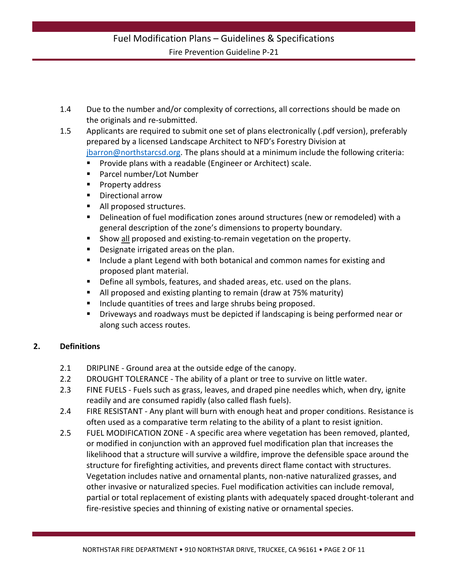- 1.4 Due to the number and/or complexity of corrections, all corrections should be made on the originals and re-submitted.
- 1.5 Applicants are required to submit one set of plans electronically (.pdf version), preferably prepared by a licensed Landscape Architect to NFD's Forestry Division at [jbarron@northstarcsd.org.](mailto:jbarron@northstarcsd.org) The plans should at a minimum include the following criteria:
	- Provide plans with a readable (Engineer or Architect) scale.
	- Parcel number/Lot Number
	- Property address
	- Directional arrow
	- All proposed structures.
	- Delineation of fuel modification zones around structures (new or remodeled) with a general description of the zone's dimensions to property boundary.
	- Show all proposed and existing-to-remain vegetation on the property.
	- Designate irrigated areas on the plan.
	- Include a plant Legend with both botanical and common names for existing and proposed plant material.
	- Define all symbols, features, and shaded areas, etc. used on the plans.
	- All proposed and existing planting to remain (draw at 75% maturity)
	- Include quantities of trees and large shrubs being proposed.
	- Driveways and roadways must be depicted if landscaping is being performed near or along such access routes.

#### **2. Definitions**

- 2.1 DRIPLINE Ground area at the outside edge of the canopy.
- 2.2 DROUGHT TOLERANCE The ability of a plant or tree to survive on little water.
- 2.3 FINE FUELS Fuels such as grass, leaves, and draped pine needles which, when dry, ignite readily and are consumed rapidly (also called flash fuels).
- 2.4 FIRE RESISTANT Any plant will burn with enough heat and proper conditions. Resistance is often used as a comparative term relating to the ability of a plant to resist ignition.
- 2.5 FUEL MODIFICATION ZONE A specific area where vegetation has been removed, planted, or modified in conjunction with an approved fuel modification plan that increases the likelihood that a structure will survive a wildfire, improve the defensible space around the structure for firefighting activities, and prevents direct flame contact with structures. Vegetation includes native and ornamental plants, non-native naturalized grasses, and other invasive or naturalized species. Fuel modification activities can include removal, partial or total replacement of existing plants with adequately spaced drought-tolerant and fire-resistive species and thinning of existing native or ornamental species.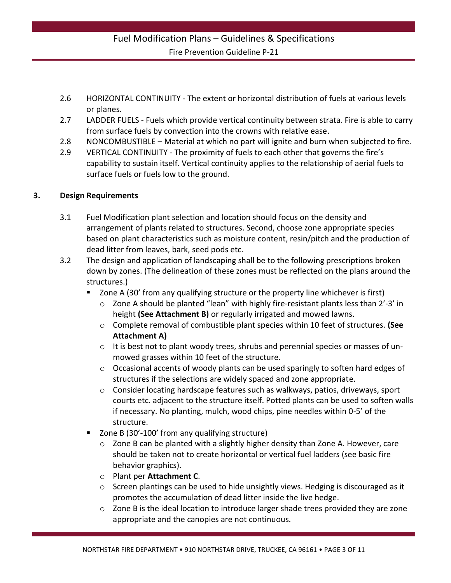- 2.6 HORIZONTAL CONTINUITY The extent or horizontal distribution of fuels at various levels or planes.
- 2.7 LADDER FUELS Fuels which provide vertical continuity between strata. Fire is able to carry from surface fuels by convection into the crowns with relative ease.
- 2.8 NONCOMBUSTIBLE Material at which no part will ignite and burn when subjected to fire.
- 2.9 VERTICAL CONTINUITY The proximity of fuels to each other that governs the fire's capability to sustain itself. Vertical continuity applies to the relationship of aerial fuels to surface fuels or fuels low to the ground.

#### **3. Design Requirements**

- 3.1 Fuel Modification plant selection and location should focus on the density and arrangement of plants related to structures. Second, choose zone appropriate species based on plant characteristics such as moisture content, resin/pitch and the production of dead litter from leaves, bark, seed pods etc.
- 3.2 The design and application of landscaping shall be to the following prescriptions broken down by zones. (The delineation of these zones must be reflected on the plans around the structures.)
	- Zone A (30' from any qualifying structure or the property line whichever is first)
		- o Zone A should be planted "lean" with highly fire-resistant plants less than 2'-3' in height **(See Attachment B)** or regularly irrigated and mowed lawns.
		- o Complete removal of combustible plant species within 10 feet of structures. **(See Attachment A)**
		- $\circ$  It is best not to plant woody trees, shrubs and perennial species or masses of unmowed grasses within 10 feet of the structure.
		- o Occasional accents of woody plants can be used sparingly to soften hard edges of structures if the selections are widely spaced and zone appropriate.
		- $\circ$  Consider locating hardscape features such as walkways, patios, driveways, sport courts etc. adjacent to the structure itself. Potted plants can be used to soften walls if necessary. No planting, mulch, wood chips, pine needles within 0-5' of the structure.
	- Zone B (30'-100' from any qualifying structure)
		- o Zone B can be planted with a slightly higher density than Zone A. However, care should be taken not to create horizontal or vertical fuel ladders (see basic fire behavior graphics).
		- o Plant per **Attachment C**.
		- $\circ$  Screen plantings can be used to hide unsightly views. Hedging is discouraged as it promotes the accumulation of dead litter inside the live hedge.
		- $\circ$  Zone B is the ideal location to introduce larger shade trees provided they are zone appropriate and the canopies are not continuous.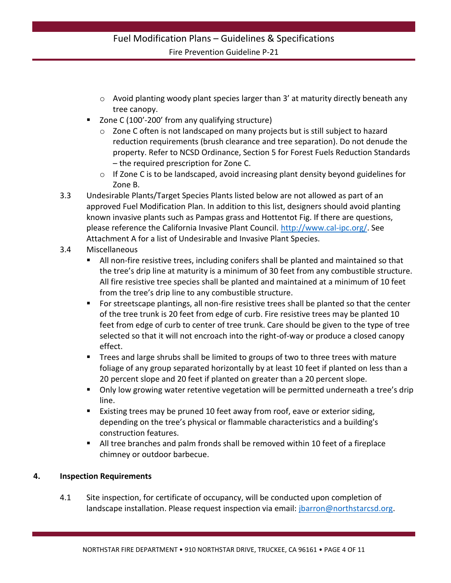- $\circ$  Avoid planting woody plant species larger than 3' at maturity directly beneath any tree canopy.
- Zone C (100'-200' from any qualifying structure)
	- o Zone C often is not landscaped on many projects but is still subject to hazard reduction requirements (brush clearance and tree separation). Do not denude the property. Refer to NCSD Ordinance, Section 5 for Forest Fuels Reduction Standards – the required prescription for Zone C.
	- o If Zone C is to be landscaped, avoid increasing plant density beyond guidelines for Zone B.
- 3.3 Undesirable Plants/Target Species Plants listed below are not allowed as part of an approved Fuel Modification Plan. In addition to this list, designers should avoid planting known invasive plants such as Pampas grass and Hottentot Fig. If there are questions, please reference the California Invasive Plant Council. [http://www.cal-ipc.org/.](http://www.cal-ipc.org/) See Attachment A for a list of Undesirable and Invasive Plant Species.
- 3.4 Miscellaneous
	- All non-fire resistive trees, including conifers shall be planted and maintained so that the tree's drip line at maturity is a minimum of 30 feet from any combustible structure. All fire resistive tree species shall be planted and maintained at a minimum of 10 feet from the tree's drip line to any combustible structure.
	- **For streetscape plantings, all non-fire resistive trees shall be planted so that the center** of the tree trunk is 20 feet from edge of curb. Fire resistive trees may be planted 10 feet from edge of curb to center of tree trunk. Care should be given to the type of tree selected so that it will not encroach into the right-of-way or produce a closed canopy effect.
	- Trees and large shrubs shall be limited to groups of two to three trees with mature foliage of any group separated horizontally by at least 10 feet if planted on less than a 20 percent slope and 20 feet if planted on greater than a 20 percent slope.
	- **•** Only low growing water retentive vegetation will be permitted underneath a tree's drip line.
	- Existing trees may be pruned 10 feet away from roof, eave or exterior siding, depending on the tree's physical or flammable characteristics and a building's construction features.
	- All tree branches and palm fronds shall be removed within 10 feet of a fireplace chimney or outdoor barbecue.

#### **4. Inspection Requirements**

4.1 Site inspection, for certificate of occupancy, will be conducted upon completion of landscape installation. Please request inspection via email: [jbarron@northstarcsd.org.](mailto:jbarron@northstarcsd.org)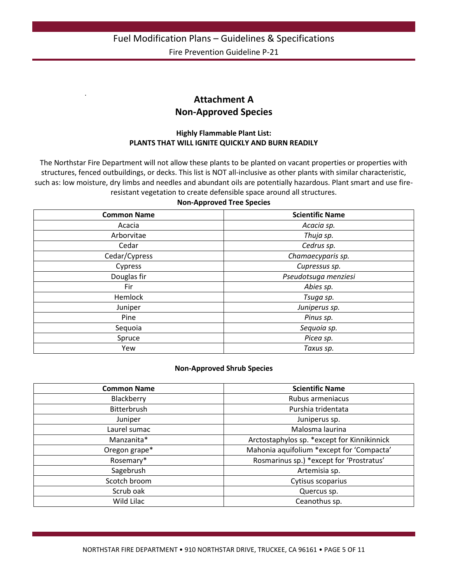## **Attachment A Non-Approved Species**

.

#### **Highly Flammable Plant List: PLANTS THAT WILL IGNITE QUICKLY AND BURN READILY**

The Northstar Fire Department will not allow these plants to be planted on vacant properties or properties with structures, fenced outbuildings, or decks. This list is NOT all-inclusive as other plants with similar characteristic, such as: low moisture, dry limbs and needles and abundant oils are potentially hazardous. Plant smart and use fireresistant vegetation to create defensible space around all structures.

#### **Non-Approved Tree Species**

| <b>Common Name</b> | <b>Scientific Name</b> |
|--------------------|------------------------|
| Acacia             | Acacia sp.             |
| Arborvitae         | Thuja sp.              |
| Cedar              | Cedrus sp.             |
| Cedar/Cypress      | Chamaecyparis sp.      |
| Cypress            | Cupressus sp.          |
| Douglas fir        | Pseudotsuga menziesi   |
| Fir                | Abies sp.              |
| Hemlock            | Tsuga sp.              |
| Juniper            | Juniperus sp.          |
| Pine               | Pinus sp.              |
| Sequoia            | Sequoia sp.            |
| Spruce             | Picea sp.              |
| Yew                | Taxus sp.              |

#### **Non-Approved Shrub Species**

| <b>Common Name</b> | <b>Scientific Name</b>                      |
|--------------------|---------------------------------------------|
| Blackberry         | Rubus armeniacus                            |
| Bitterbrush        | Purshia tridentata                          |
| Juniper            | Juniperus sp.                               |
| Laurel sumac       | Malosma laurina                             |
| Manzanita*         | Arctostaphylos sp. *except for Kinnikinnick |
| Oregon grape*      | Mahonia aquifolium *except for 'Compacta'   |
| Rosemary*          | Rosmarinus sp.) *except for 'Prostratus'    |
| Sagebrush          | Artemisia sp.                               |
| Scotch broom       | Cytisus scoparius                           |
| Scrub oak          | Quercus sp.                                 |
| Wild Lilac         | Ceanothus sp.                               |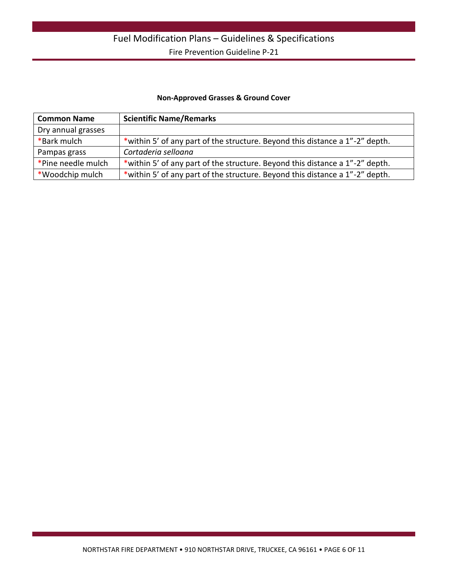#### **Non-Approved Grasses & Ground Cover**

| <b>Common Name</b> | <b>Scientific Name/Remarks</b>                                               |
|--------------------|------------------------------------------------------------------------------|
| Dry annual grasses |                                                                              |
| *Bark mulch        | *within 5' of any part of the structure. Beyond this distance a 1"-2" depth. |
| Pampas grass       | Cortaderia selloana                                                          |
| *Pine needle mulch | *within 5' of any part of the structure. Beyond this distance a 1"-2" depth. |
| *Woodchip mulch    | *within 5' of any part of the structure. Beyond this distance a 1"-2" depth. |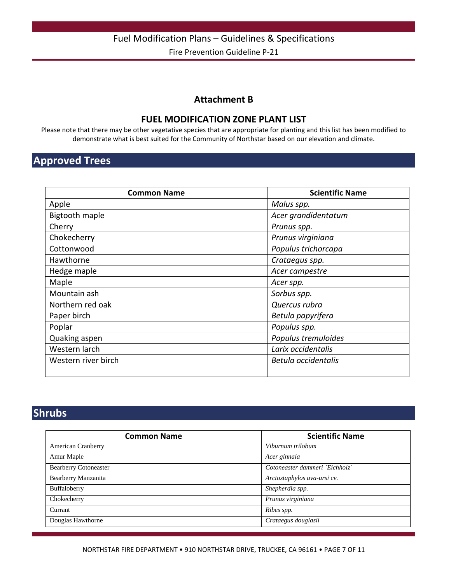#### **Attachment B**

#### **FUEL MODIFICATION ZONE PLANT LIST**

Please note that there may be other vegetative species that are appropriate for planting and this list has been modified to demonstrate what is best suited for the Community of Northstar based on our elevation and climate.

## **Approved Trees**

| <b>Common Name</b>    | <b>Scientific Name</b> |
|-----------------------|------------------------|
| Apple                 | Malus spp.             |
| <b>Bigtooth maple</b> | Acer grandidentatum    |
| Cherry                | Prunus spp.            |
| Chokecherry           | Prunus virginiana      |
| Cottonwood            | Populus trichorcapa    |
| Hawthorne             | Crataegus spp.         |
| Hedge maple           | Acer campestre         |
| Maple                 | Acer spp.              |
| Mountain ash          | Sorbus spp.            |
| Northern red oak      | Quercus rubra          |
| Paper birch           | Betula papyrifera      |
| Poplar                | Populus spp.           |
| Quaking aspen         | Populus tremuloides    |
| Western larch         | Larix occidentalis     |
| Western river birch   | Betula occidentalis    |
|                       |                        |

## **Shrubs**

| <b>Common Name</b>           | <b>Scientific Name</b>         |
|------------------------------|--------------------------------|
| <b>American Cranberry</b>    | Viburnum trilobum              |
| Amur Maple                   | Acer ginnala                   |
| <b>Bearberry Cotoneaster</b> | Cotoneaster dammeri `Eichholz` |
| Bearberry Manzanita          | Arctostaphylos uva-ursi cv.    |
| Buffaloberry                 | Shepherdia spp.                |
| Chokecherry                  | Prunus virginiana              |
| Currant                      | Ribes spp.                     |
| Douglas Hawthorne            | Crataegus douglasii            |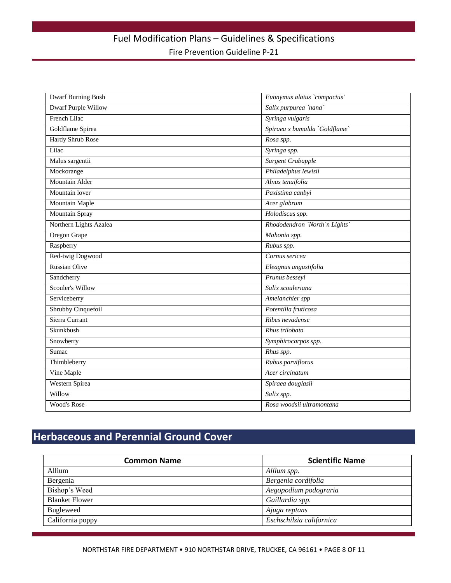| <b>Dwarf Burning Bush</b>  | Euonymus alatus `compactus'   |
|----------------------------|-------------------------------|
| <b>Dwarf Purple Willow</b> | Salix purpurea `nana`         |
| French Lilac               | Syringa vulgaris              |
| Goldflame Spirea           | Spiraea x bumalda `Goldflame` |
| <b>Hardy Shrub Rose</b>    | Rosa spp.                     |
| Lilac                      | Syringa spp.                  |
| Malus sargentii            | Sargent Crabapple             |
| Mockorange                 | Philadelphus lewisii          |
| Mountain Alder             | Alnus tenuifolia              |
| Mountain lover             | Paxistima canbyi              |
| <b>Mountain Maple</b>      | Acer glabrum                  |
| Mountain Spray             | Holodiscus spp.               |
| Northern Lights Azalea     | Rhododendron `North`n Lights` |
| Oregon Grape               | Mahonia spp.                  |
| Raspberry                  | Rubus spp.                    |
| Red-twig Dogwood           | Cornus sericea                |
| <b>Russian Olive</b>       | Eleagnus angustifolia         |
| Sandcherry                 | Prunus besseyi                |
| <b>Scouler's Willow</b>    | Salix scouleriana             |
| Serviceberry               | Amelanchier spp               |
| Shrubby Cinquefoil         | Potentilla fruticosa          |
| Sierra Currant             | Ribes nevadense               |
| Skunkbush                  | Rhus trilobata                |
| Snowberry                  | Symphirocarpos spp.           |
| Sumac                      | Rhus spp.                     |
| Thimbleberry               | Rubus parviflorus             |
| Vine Maple                 | Acer circinatum               |
| <b>Western Spirea</b>      | Spiraea douglasii             |
| Willow                     | Salix spp.                    |
| Wood's Rose                | Rosa woodsii ultramontana     |

## **Herbaceous and Perennial Ground Cover**

| <b>Common Name</b>    | <b>Scientific Name</b>   |
|-----------------------|--------------------------|
| Allium                | Allium spp.              |
| Bergenia              | Bergenia cordifolia      |
| Bishop's Weed         | Aegopodium podograria    |
| <b>Blanket Flower</b> | Gaillardia spp.          |
| <b>Bugleweed</b>      | Ajuga reptans            |
| California poppy      | Eschschilzia californica |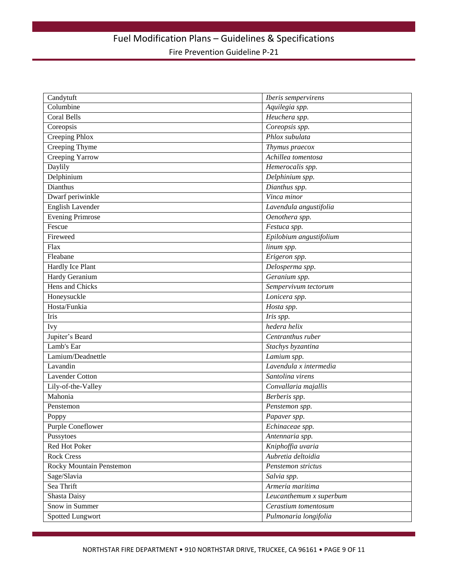| Candytuft                | Iberis sempervirens     |
|--------------------------|-------------------------|
| Columbine                | Aquilegia spp.          |
| Coral Bells              | Heuchera spp.           |
| Coreopsis                | Coreopsis spp.          |
| Creeping Phlox           | Phlox subulata          |
| <b>Creeping Thyme</b>    | Thymus praecox          |
| <b>Creeping Yarrow</b>   | Achillea tomentosa      |
| Daylily                  | Hemerocalis spp.        |
| Delphinium               | Delphinium spp.         |
| Dianthus                 | Dianthus spp.           |
| Dwarf periwinkle         | Vinca minor             |
| <b>English Lavender</b>  | Lavendula angustifolia  |
| <b>Evening Primrose</b>  | Oenothera spp.          |
| Fescue                   | Festuca spp.            |
| Fireweed                 | Epilobium angustifolium |
| Flax                     | linum spp.              |
| Fleabane                 | Erigeron spp.           |
| Hardly Ice Plant         | Delosperma spp.         |
| Hardy Geranium           | Geranium spp.           |
| Hens and Chicks          | Sempervivum tectorum    |
| Honeysuckle              | Lonicera spp.           |
| Hosta/Funkia             | Hosta spp.              |
| Iris                     | Iris spp.               |
| <b>Ivy</b>               | hedera helix            |
| Jupiter's Beard          | Centranthus ruber       |
| Lamb's Ear               | Stachys byzantina       |
| Lamium/Deadnettle        | Lamium spp.             |
| Lavandin                 | Lavendula x intermedia  |
| <b>Lavender Cotton</b>   | Santolina virens        |
| Lily-of-the-Valley       | Convallaria majallis    |
| Mahonia                  | Berberis spp.           |
| Penstemon                | Penstemon spp.          |
| Poppy                    | Papaver spp.            |
| Purple Coneflower        | Echinaceae spp.         |
| Pussytoes                | Antennaria spp.         |
| Red Hot Poker            | Kniphoffia uvaria       |
| <b>Rock Cress</b>        | Aubretia deltoidia      |
| Rocky Mountain Penstemon | Penstemon strictus      |
| Sage/Slavia              | Salvia spp.             |
| Sea Thrift               | Armeria maritima        |
| Shasta Daisy             | Leucanthemum x superbum |
| Snow in Summer           | Cerastium tomentosum    |
| Spotted Lungwort         | Pulmonaria longifolia   |
|                          |                         |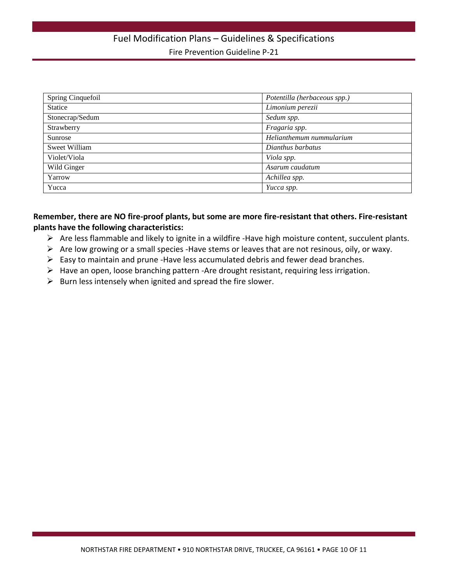| Spring Cinquefoil | Potentilla (herbaceous spp.) |
|-------------------|------------------------------|
| <b>Statice</b>    | Limonium perezii             |
| Stonecrap/Sedum   | Sedum spp.                   |
| Strawberry        | Fragaria spp.                |
| Sunrose           | Helianthemum nummularium     |
| Sweet William     | Dianthus barbatus            |
| Violet/Viola      | Viola spp.                   |
| Wild Ginger       | Asarum caudatum              |
| Yarrow            | Achillea spp.                |
| Yucca             | Yucca spp.                   |

#### **Remember, there are NO fire-proof plants, but some are more fire-resistant that others. Fire-resistant plants have the following characteristics:**

- $\triangleright$  Are less flammable and likely to ignite in a wildfire -Have high moisture content, succulent plants.
- $\triangleright$  Are low growing or a small species -Have stems or leaves that are not resinous, oily, or waxy.
- $\triangleright$  Easy to maintain and prune -Have less accumulated debris and fewer dead branches.
- Have an open, loose branching pattern -Are drought resistant, requiring less irrigation.
- $\triangleright$  Burn less intensely when ignited and spread the fire slower.